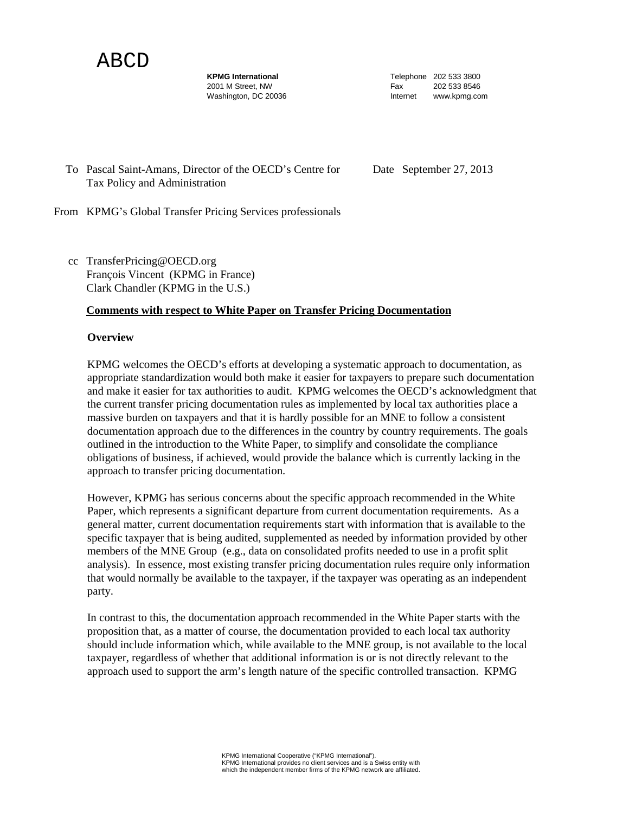ABCD

**KPMG International** 2001 M Street, NW Washington, DC 20036 Telephone 202 533 3800 Fax 202 533 8546 Internet www.kpmg.com

To Pascal Saint-Amans, Director of the OECD's Centre for Tax Policy and Administration

Date September 27, 2013

From KPMG's Global Transfer Pricing Services professionals

cc TransferPricing@OECD.org François Vincent (KPMG in France) Clark Chandler (KPMG in the U.S.)

#### **Comments with respect to White Paper on Transfer Pricing Documentation**

#### **Overview**

KPMG welcomes the OECD's efforts at developing a systematic approach to documentation, as appropriate standardization would both make it easier for taxpayers to prepare such documentation and make it easier for tax authorities to audit. KPMG welcomes the OECD's acknowledgment that the current transfer pricing documentation rules as implemented by local tax authorities place a massive burden on taxpayers and that it is hardly possible for an MNE to follow a consistent documentation approach due to the differences in the country by country requirements. The goals outlined in the introduction to the White Paper, to simplify and consolidate the compliance obligations of business, if achieved, would provide the balance which is currently lacking in the approach to transfer pricing documentation.

However, KPMG has serious concerns about the specific approach recommended in the White Paper, which represents a significant departure from current documentation requirements. As a general matter, current documentation requirements start with information that is available to the specific taxpayer that is being audited, supplemented as needed by information provided by other members of the MNE Group (e.g., data on consolidated profits needed to use in a profit split analysis). In essence, most existing transfer pricing documentation rules require only information that would normally be available to the taxpayer, if the taxpayer was operating as an independent party.

In contrast to this, the documentation approach recommended in the White Paper starts with the proposition that, as a matter of course, the documentation provided to each local tax authority should include information which, while available to the MNE group, is not available to the local taxpayer, regardless of whether that additional information is or is not directly relevant to the approach used to support the arm's length nature of the specific controlled transaction. KPMG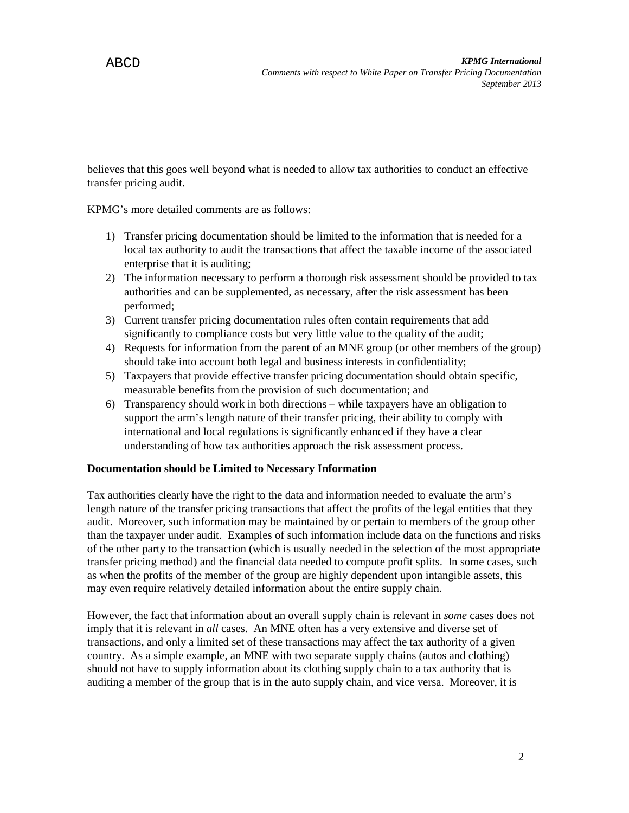believes that this goes well beyond what is needed to allow tax authorities to conduct an effective transfer pricing audit.

KPMG's more detailed comments are as follows:

- 1) Transfer pricing documentation should be limited to the information that is needed for a local tax authority to audit the transactions that affect the taxable income of the associated enterprise that it is auditing;
- 2) The information necessary to perform a thorough risk assessment should be provided to tax authorities and can be supplemented, as necessary, after the risk assessment has been performed;
- 3) Current transfer pricing documentation rules often contain requirements that add significantly to compliance costs but very little value to the quality of the audit;
- 4) Requests for information from the parent of an MNE group (or other members of the group) should take into account both legal and business interests in confidentiality;
- 5) Taxpayers that provide effective transfer pricing documentation should obtain specific, measurable benefits from the provision of such documentation; and
- 6) Transparency should work in both directions while taxpayers have an obligation to support the arm's length nature of their transfer pricing, their ability to comply with international and local regulations is significantly enhanced if they have a clear understanding of how tax authorities approach the risk assessment process.

# **Documentation should be Limited to Necessary Information**

Tax authorities clearly have the right to the data and information needed to evaluate the arm's length nature of the transfer pricing transactions that affect the profits of the legal entities that they audit. Moreover, such information may be maintained by or pertain to members of the group other than the taxpayer under audit. Examples of such information include data on the functions and risks of the other party to the transaction (which is usually needed in the selection of the most appropriate transfer pricing method) and the financial data needed to compute profit splits. In some cases, such as when the profits of the member of the group are highly dependent upon intangible assets, this may even require relatively detailed information about the entire supply chain.

However, the fact that information about an overall supply chain is relevant in *some* cases does not imply that it is relevant in *all* cases. An MNE often has a very extensive and diverse set of transactions, and only a limited set of these transactions may affect the tax authority of a given country. As a simple example, an MNE with two separate supply chains (autos and clothing) should not have to supply information about its clothing supply chain to a tax authority that is auditing a member of the group that is in the auto supply chain, and vice versa. Moreover, it is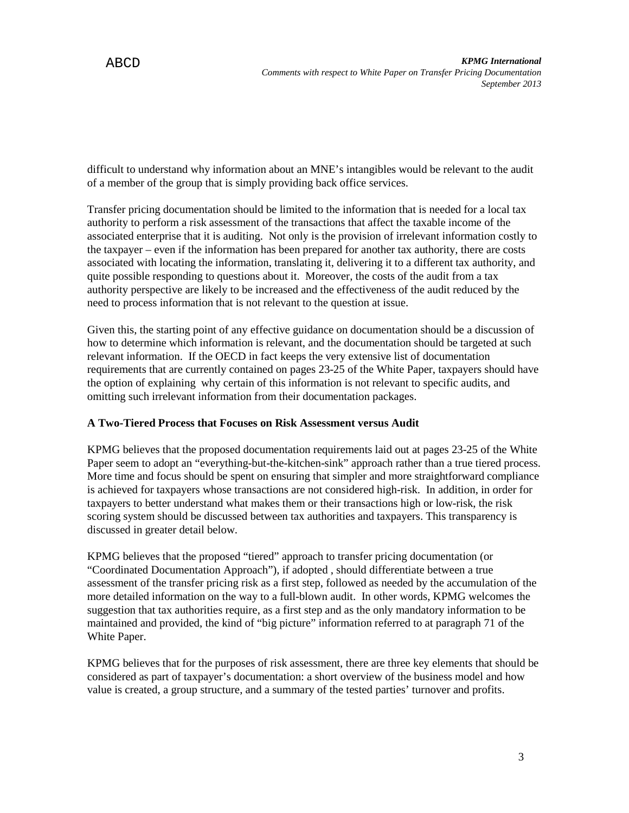difficult to understand why information about an MNE's intangibles would be relevant to the audit of a member of the group that is simply providing back office services.

Transfer pricing documentation should be limited to the information that is needed for a local tax authority to perform a risk assessment of the transactions that affect the taxable income of the associated enterprise that it is auditing. Not only is the provision of irrelevant information costly to the taxpayer – even if the information has been prepared for another tax authority, there are costs associated with locating the information, translating it, delivering it to a different tax authority, and quite possible responding to questions about it. Moreover, the costs of the audit from a tax authority perspective are likely to be increased and the effectiveness of the audit reduced by the need to process information that is not relevant to the question at issue.

Given this, the starting point of any effective guidance on documentation should be a discussion of how to determine which information is relevant, and the documentation should be targeted at such relevant information. If the OECD in fact keeps the very extensive list of documentation requirements that are currently contained on pages 23-25 of the White Paper, taxpayers should have the option of explaining why certain of this information is not relevant to specific audits, and omitting such irrelevant information from their documentation packages.

# **A Two-Tiered Process that Focuses on Risk Assessment versus Audit**

KPMG believes that the proposed documentation requirements laid out at pages 23-25 of the White Paper seem to adopt an "everything-but-the-kitchen-sink" approach rather than a true tiered process. More time and focus should be spent on ensuring that simpler and more straightforward compliance is achieved for taxpayers whose transactions are not considered high-risk. In addition, in order for taxpayers to better understand what makes them or their transactions high or low-risk, the risk scoring system should be discussed between tax authorities and taxpayers. This transparency is discussed in greater detail below.

KPMG believes that the proposed "tiered" approach to transfer pricing documentation (or "Coordinated Documentation Approach"), if adopted , should differentiate between a true assessment of the transfer pricing risk as a first step, followed as needed by the accumulation of the more detailed information on the way to a full-blown audit. In other words, KPMG welcomes the suggestion that tax authorities require, as a first step and as the only mandatory information to be maintained and provided, the kind of "big picture" information referred to at paragraph 71 of the White Paper.

KPMG believes that for the purposes of risk assessment, there are three key elements that should be considered as part of taxpayer's documentation: a short overview of the business model and how value is created, a group structure, and a summary of the tested parties' turnover and profits.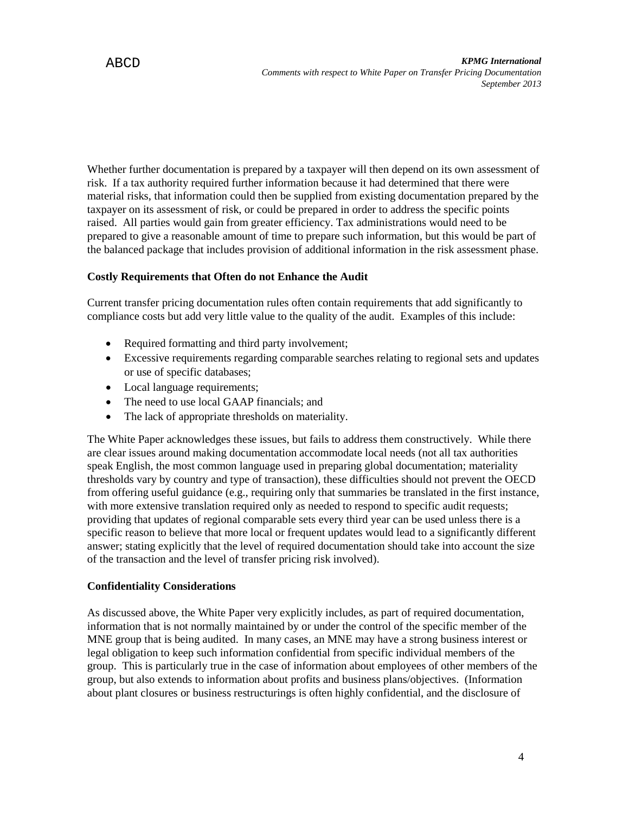Whether further documentation is prepared by a taxpayer will then depend on its own assessment of risk. If a tax authority required further information because it had determined that there were material risks, that information could then be supplied from existing documentation prepared by the taxpayer on its assessment of risk, or could be prepared in order to address the specific points raised. All parties would gain from greater efficiency. Tax administrations would need to be prepared to give a reasonable amount of time to prepare such information, but this would be part of the balanced package that includes provision of additional information in the risk assessment phase.

# **Costly Requirements that Often do not Enhance the Audit**

Current transfer pricing documentation rules often contain requirements that add significantly to compliance costs but add very little value to the quality of the audit. Examples of this include:

- Required formatting and third party involvement;
- Excessive requirements regarding comparable searches relating to regional sets and updates or use of specific databases;
- Local language requirements;
- The need to use local GAAP financials; and
- The lack of appropriate thresholds on materiality.

The White Paper acknowledges these issues, but fails to address them constructively. While there are clear issues around making documentation accommodate local needs (not all tax authorities speak English, the most common language used in preparing global documentation; materiality thresholds vary by country and type of transaction), these difficulties should not prevent the OECD from offering useful guidance (e.g., requiring only that summaries be translated in the first instance, with more extensive translation required only as needed to respond to specific audit requests; providing that updates of regional comparable sets every third year can be used unless there is a specific reason to believe that more local or frequent updates would lead to a significantly different answer; stating explicitly that the level of required documentation should take into account the size of the transaction and the level of transfer pricing risk involved).

# **Confidentiality Considerations**

As discussed above, the White Paper very explicitly includes, as part of required documentation, information that is not normally maintained by or under the control of the specific member of the MNE group that is being audited. In many cases, an MNE may have a strong business interest or legal obligation to keep such information confidential from specific individual members of the group. This is particularly true in the case of information about employees of other members of the group, but also extends to information about profits and business plans/objectives. (Information about plant closures or business restructurings is often highly confidential, and the disclosure of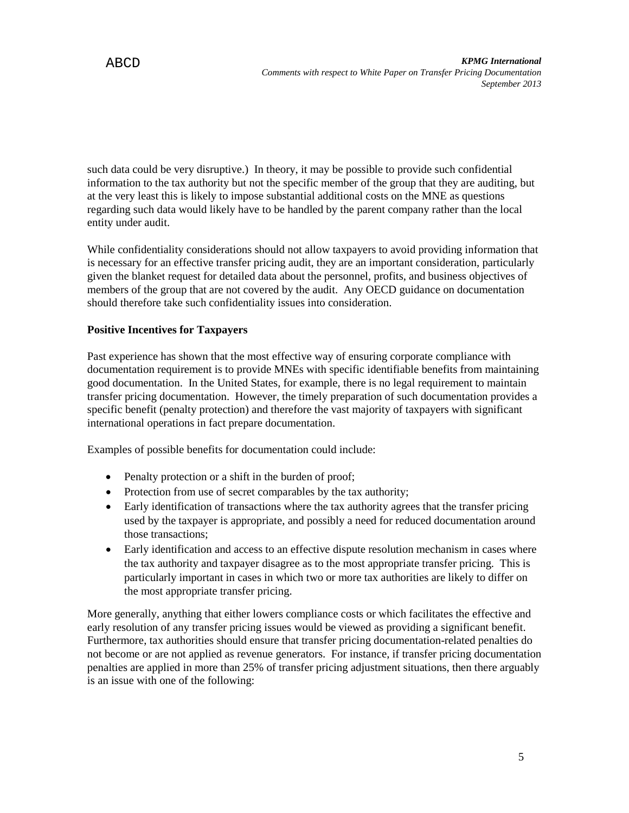such data could be very disruptive.) In theory, it may be possible to provide such confidential information to the tax authority but not the specific member of the group that they are auditing, but at the very least this is likely to impose substantial additional costs on the MNE as questions regarding such data would likely have to be handled by the parent company rather than the local entity under audit.

While confidentiality considerations should not allow taxpayers to avoid providing information that is necessary for an effective transfer pricing audit, they are an important consideration, particularly given the blanket request for detailed data about the personnel, profits, and business objectives of members of the group that are not covered by the audit. Any OECD guidance on documentation should therefore take such confidentiality issues into consideration.

# **Positive Incentives for Taxpayers**

Past experience has shown that the most effective way of ensuring corporate compliance with documentation requirement is to provide MNEs with specific identifiable benefits from maintaining good documentation. In the United States, for example, there is no legal requirement to maintain transfer pricing documentation. However, the timely preparation of such documentation provides a specific benefit (penalty protection) and therefore the vast majority of taxpayers with significant international operations in fact prepare documentation.

Examples of possible benefits for documentation could include:

- Penalty protection or a shift in the burden of proof;
- Protection from use of secret comparables by the tax authority;
- Early identification of transactions where the tax authority agrees that the transfer pricing used by the taxpayer is appropriate, and possibly a need for reduced documentation around those transactions;
- Early identification and access to an effective dispute resolution mechanism in cases where the tax authority and taxpayer disagree as to the most appropriate transfer pricing. This is particularly important in cases in which two or more tax authorities are likely to differ on the most appropriate transfer pricing.

More generally, anything that either lowers compliance costs or which facilitates the effective and early resolution of any transfer pricing issues would be viewed as providing a significant benefit. Furthermore, tax authorities should ensure that transfer pricing documentation-related penalties do not become or are not applied as revenue generators. For instance, if transfer pricing documentation penalties are applied in more than 25% of transfer pricing adjustment situations, then there arguably is an issue with one of the following: